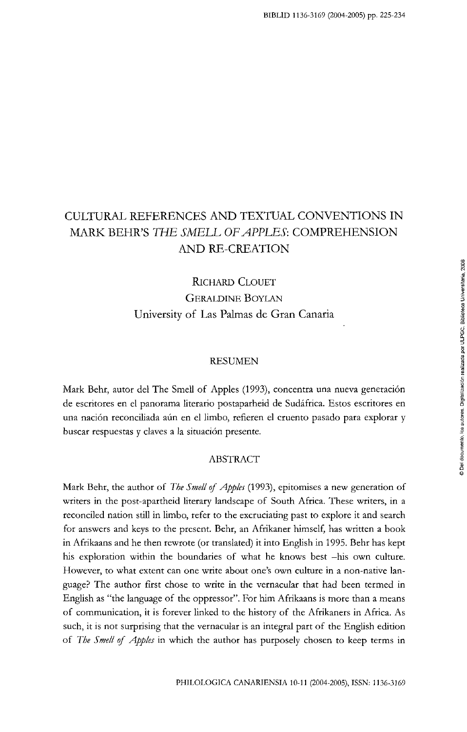# CULTURAL REFERENCES AND TEXTUAL CONVENTIONS IN MARK BEHR'S *THE SMELL OFAPPLES:* COMPREHENSION AND RE-CREATION

## RICHARD CLOUET GERALDINE BOYLAN University of Las Palmas de Gran Canaria

#### RESUMEN

Mark Behr, autor del The Smell of Apples (1993), concentra una nueva generación de escritores en el panorama literario postaparheid de Sudáfrica. Estos escritores en una nación reconciliada aún en el limbo, refieren el cruento pasado para explorar y buscar respuestas y claves a la situación presente.

### ABSTRACT

Mark Behr, the author of *The Smell of Apples* (1993), epitomises a new generation of writers in the post-apartheid literary landscape of South África. These writers, in a reconciled natíon stiU in limbo, refer to the excruciating past to explore it and search for answers and keys to the present. Behr, an Afrikaner himself, has written a book in Afrikaans and he then rewrote (or translated) it into English in 1995. Behr has kept his exploration within the boundaries of what he knows best -his own culture. However, to what extent can one write about one's own culture in a non-naüve language? The author first chose to write in the vernacular that had been termed in English as "the language of the oppressor". For him Afrikaans is more than a means of communicatíon, it is forever linked to the history of the Afrikaners in África. As such, it is not surprising that the vernacular is an integral part of the English edition of *The Smell of Apples* in which the author has purposely chosen to keep terms in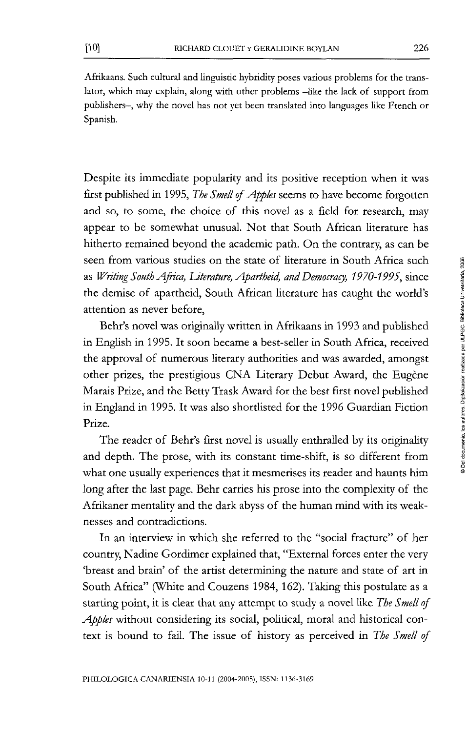Afrikaans. Such cultural and linguistic hybridity poses various problems for the translator, which may explain, along with other problems -like the lack of support from publishers—, why the novel has not yet been translated into languages like French or Spanish.

Despite its immediate popularity and its positíve reception when it was first published in 1995, *The Smell of Apples* seems to have become forgotten and so, to some, the choice of this novel as a field for research, may appear to be somewhat unusual. Not that South African literature has hitherto remained beyond the academic path. On the contrary, as can be seen from various studies on the state of literature in South África such as *Writing South África, Uterature, Apartheid, and Democracy, 1970-1995,* since the demise of apartheid, South African literature has caught the world's attention as never before,

Behr's novel was originally written in Afrikaans in 1993 and published in English in 1995. It soon became a best-seller in South África, received the approval of numerous literary authorities and was awarded, amongst other prizes, the prestígious CNA Literary Debut Award, the Eugéne Marais Prize, and the Betty Trask Award for the best first novel published in England in 1995. It was also shordisted for the 1996 Guardian Fictíon Prize.

The reader of Behr's first novel is usually enthralled by its originality and depth. The prose, with its constant üme-shift, is so different from what one usually experiences that it mesmerises its reader and haunts him long after the last page. Behr carries his prose into the complexity of the Afrikaner mentaüty and the dark abyss of the human mind with its weaknesses and contradictions.

In an interview in which she referred to the "social fracture" of her country, Nadine Gordimer explained that, "External forces enter the very 'breast and brain' of the artist determining the nature and state of art in South Africa" (White and Couzens 1984, 162). Taking this postulate as a starting point, it is clear that any attempt to study a novel like The Smell of *Apples* without considering its social, political, moral and historical context is bound to faü. The issue of history as perceived in *The Smell of*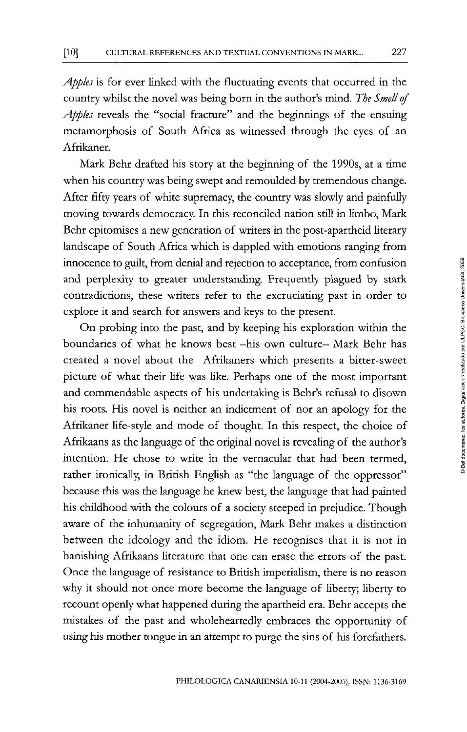*Appks* is for ever linked with the fluctuating events that occurred in the country whilst the novel was being born in the author's mind. *The Smell of*  Apples reveals the "social fracture" and the beginnings of the ensuing metamorphosis of South África as witnessed through the eyes of an Afrikaner.

Mark Behr drafted his story at the beginning of the 1990s, at a time when his country was being swept and remoulded by tremendous change. After fifty years of white supremacy, the country was slowly and painfully moving towards democracy. In this reconciled nation still in limbo, Mark Behr epitomises a new generation of writers in the post-apartheid literary landscape of South África which is dappled with emotíons ranging from innocence to guüt, from denial and rejection to acceptance, from confusión and perplexity to greater understanding. Frequently plagued by stark contradictions, these writers refer to the excruciating past in order to explore it and search for answers and keys to the present.

On probing into the past, and by keeping his exploration within the boundaries of what he knows best -his own culture- Mark Behr has created a novel about the Afrikaners which presents a bitter-sweet picture of what their life was like. Perhaps one of the most important and commendable aspects of his undertaking is Behr's refusal to disown his roots. His novel is neither an indictment of ñor an apology for the Afrikaner life-style and mode of thought. In this respect, the choice of Afrikaans as the language of the original novel is reveaüng of the author's intention. He chose to write in the vernacular that had been termed, rather ironically, in British English as "the language of the oppressor" because this was the language he knew best, the language that had painted his chüdhood with the colours of a society steeped in prejudice. Though aware of the inhumanity of segregatíon, Mark Behr makes a distinction between the ideology and the idiom. He recognises that it is not in banishing Afrikaans üterature that one can erase the errors of the past. Once the language of resistance to British imperialism, there is no reason why it should not once more become the language of liberty; liberty to recount openly what happened during the apartheid era. Behr accepts the mistakes of the past and wholeheartedly embraces the opportunity of using his mother tongue in an attempt to purge the sins of his forefathers.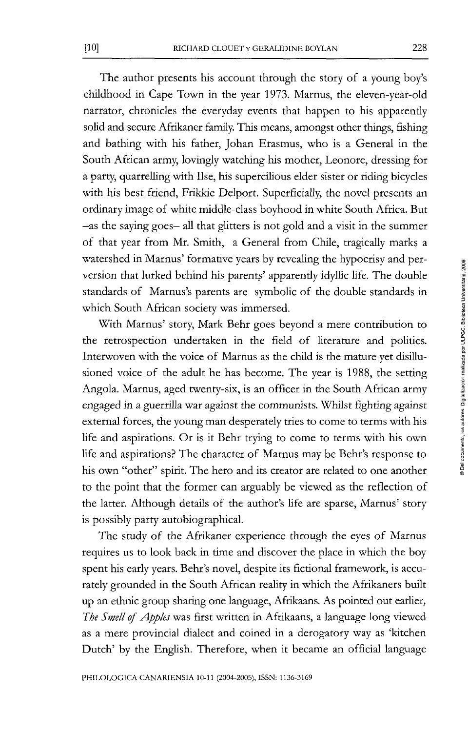The author presents his account through the story of a young boy's childhood in Cape Town in the year 1973. Marnus, the eleven-year-old narrator, chronicles the everyday events that happen to his apparendy solid and secute Afrikaner family. This means, amongst other things, fishing and bathing with his father, Johan Erasmus, who is a General in the South African army, lovingly watching his mother, Leonore, dressing for a party, quarrelling with Ilse, his supercilious elder sister or riding bicycles with his best friend, Frikkie Delport. Superficially, the novel presents an ordinary image of white middle-class boyhood in white South África. But —as the saying goes— all that glitters is not gold and a visit in the summer of that year from Mr. Smith, a General from Chile, tragically marks a watershed in Marnus' formative years by revealing the hypocrisy and perversion that lurked behind his parents' apparently idyllic life. The double standards of Marnus's parents are symbolic of the double standards in which South African society was immersed.

With Marnus' story, Mark Behr goes beyond a mere contribution to the retrospection undertaken in the field of literature and politics. Interwoven with the voice of Marnus as the child is the mature yet disillusioned voice of the adult he has become. The year is 1988, the setting Angola. Marnus, aged twenty-six, is an officer in the South African army engaged in a guerrilla war against the communists. Whilst fighting against external forces, the young man desperately tries to come to terms with his life and aspirations. Or is it Behr trying to come to terms with his own life and aspirations? The character of Marnus may be Behr's response to his own "other" spirit. The hero and its creator are related to one another to the point that the former can arguably be viewed as the reflection of the latter. Although detaüs of the author's life are sparse, Marnus' story is possibly party autobiographical.

The study of the Afrikaner experience through the eyes of Marnus requires us to look back in time and discover the place in which the boy spent his early years. Behr's novel, despite its fictional framework, is accurately grounded in the South African reality in which the Afrikaners built up an ethnic group sharing one language, Afrikaans. As pointed out earlier, The Smell of Apples was first written in Afrikaans, a language long viewed as a mere provincial dialect and coined in a derogatory way as 'kitchen Dutch' by the Engüsh. Therefore, when it became an official language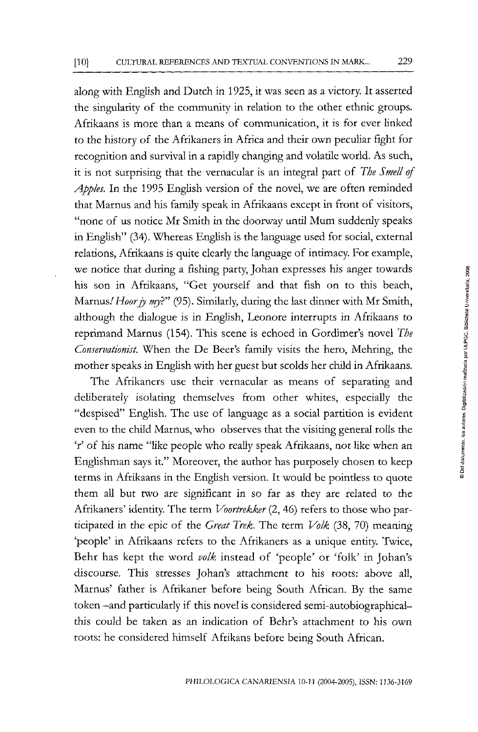along with English and Dutch in 1925, it was seen as a victory. It asserted the singularity of the community in relation to the other ethnic groups. Afrikaans is more than a means of communication, it is for ever linked to the history of the Afrikaners in África and theit own peculiar fight for recognition and survival in a rapidly changing and volaüle world. As such, it is not surprising that the vernacular is an integral part of *The Smell of*  Apples. In the 1995 English version of the novel, we are often reminded that Marnus and his family speak in Afrikaans except in front of visitors, "none of us notice Mr Smith in the doorway until Mum suddenly speaks in English" (34). Whereas English is the language used for social, externa! relations, Afrikaans is quite clearly the language of intimacy. For example, we notice that during a fishing party, Johan expresses his anger towards his son in Afrikaans, "Get yourself and that fish on to this beach, Marnus/ *Hoorjy my?"* (95). Simüarly, during the last dinner with Mr Smith, although the dialogue is in English, Leonore interrupts in Afrikaans to reprimand Marnus (154). This scene is echoed in Gordimer's novel *The Conservationist.* When the De Beer's family visits the hero, Mehring, the mother speaks in English with her guest but scolds her chüd in Afrikaans.

The Afrikaners use their vernacular as means of separating and deüberately isolating themselves from other whites, especially the "despised" English. The use of language as a social partition is evident even to the child Marnus, who observes that the visiting general rolls the 'r' of his ñame "üke people who really speak Afrikaans, not like when an Englishman says it." Moreover, the author has purposely chosen to keep terms in Afrikaans in the English versión. It would be pointless to quote them all but two are significant in so far as they are related to the Afrikaners' identity. The term *Voortrekker* (2, 46) refers to those who participated in the epic of the *Great Trek.* The term *Volk* (38, 70) meaning 'people' in Afrikaans refers to the Afrikaners as a unique entity. Twice, Behr has kept the word *volk* instead of 'people' or 'folk' in Johan's discourse. This stresses Johan's attachment to his roots: above all, Marnus' father is Afrikaner before being South African. By the same token —and particularly if this novel is considered semi-autobiographicalthis could be taken as an indication of Behr's attachment to his own roots: he considered himself Afrikans before being South African.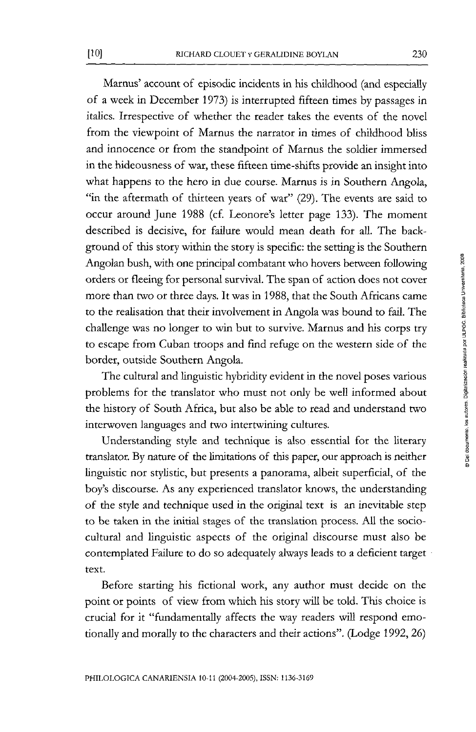Marnus' account of episodic incidents in his childhood (and especially of a week in December 1973) is interrupted fifteen times by passages in italics. Irrespective of whether the reader takes the events of the novel from *the* viewpoint of Marnus the narrator in times of childhood bliss and innocence or from the standpoint of Marnus the soldier immersed in the hideousness of war, these fifteen time-shifts provide an insight into what happens to the hero in due course. Marnus is in Southern Angola, "in the aftermath of thirteen years of war" (29). The events are said to occur around June 1988 (cf. Leonore's letter page 133). The moment described is decisive, for faüure would mean death for aU. The background of this story within the story is specific: the setting is the Southern Angolan bush, with one principal combatant who hovers between following orders or fleeing for personal survival. The span of action does not cover more than two or three days. It was in 1988, that the South Africans came to the realisation that their involvement in Angola was bound to faü. The challenge was no longer to win but to survive. Marnus and his corps try to escape from Cuban troops and find refuge on the western side of the border, outside Southern Angola.

The cultural and linguistic hybridity evident in the novel poses various problems for the translator who must not only be well informed about the history of South África, but also be able to read and understand two interwoven languages and two intertwining cultures.

Understanding style and technique is also essential for the literary translator. By nature of the ümitations of this paper, our approach is neither linguistic ñor styüstic, but presents a panorama, albeit superficial, of the boy's discourse. As any experienced translator knows, the understanding of the style and technique used in the original text is an inevitable step to be taken in the initial stages of the translation process. All the sociocultural and linguistic aspects of the original discourse must also be contemplated Faüure to do so adequately always leads to a deficient target text.

Before starting his fictional work, any author must decide on the point or points of view from which his story will be told. This choice is crucial for it "fundamentally affects the way readers will respond emotíonally and morally to the characters and their actions". (Lodge 1992, 26)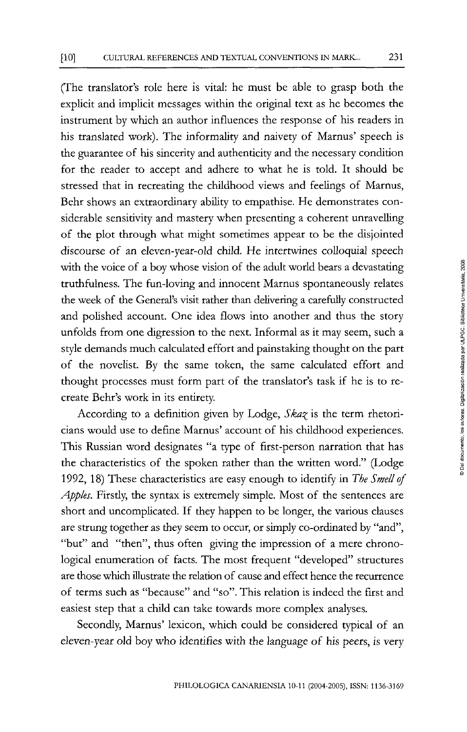(The translator's role here is vital: he must be able to grasp both the explicit and implicit messages within the original text as he becomes the instrument by which an author influences the response of his readers in his translated work). The informality and naivety of Marnus' speech is the guarantee of his sincerity and authenticity and the necessary condition for the reader to accept and adhere to what he is told. It should be stressed that in recreating the childhood views and feelings of Marnus, Behr shows an extraordinary ability to empathise. He demonstrares considerable sensitivity and mastery when presenting a coherent unravelling of the plot through what might sometimes appear to be the disjointed discourse of an eleven-year-old chüd. He intertwines colloquial speech with the voice of a boy whose vision of the adult world bears a devastating truthfulness. The fun-loving and innocent Marnus spontaneously relates the week of the General's visit rather than delivering a carefully constructed and poüshed account. One idea flows into another and thus the story unfolds from one digression to the next. Informal as it may seem, such a style demands much calculated effort and painstaking thought on the part of the noveüst. By the same token, the same calculated effort and thought processes must form part of the translator's task if he is to recreate Behr's work in its entirety.

According to a definiüon given by Lodge, *Ska^* is the term rhetoricians would use to define Marnus' account of his childhood experiences. This Russian word designates "a type of first-person narration that has the characteristics of the spoken rather than the written word." (Lodge 1992, 18) These characteristics are easy enough to identify in *The Smell of Apples.* Firstiy, the syntax is extremely simple. Most of the sentences are short and uncomplicated. If they happen to be longer, the various clauses are strung together as they seem to occur, or simply co-ordinated by "and", "but" and "then", thus often giving the impression of a mere chronological enumeration of facts. The most frequent "developed" structures are those which illustrate the relation of cause and effect hence the recurrence of terms such as "because" and "so". This relation is indeed the first and easiest step that a child can take towards more complex analyses.

Secondly, Marnus' lexicon, which could be considered typical of an eleven-year oíd boy who identifies with the language of his peers, is very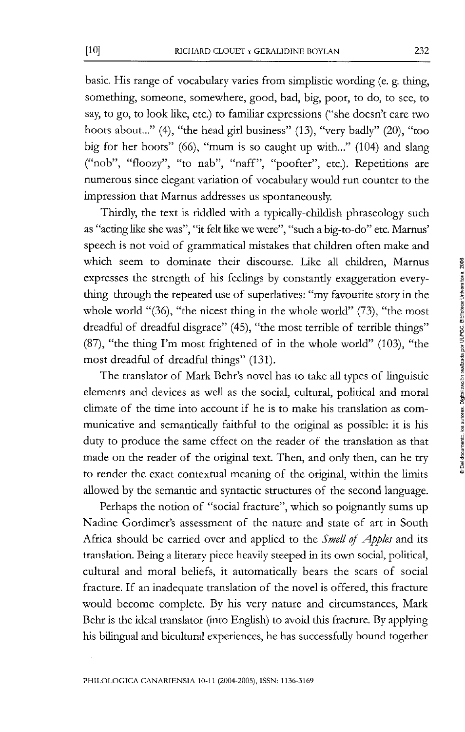basic. His range of vocabulary varíes from simplistic wording (e. g. thing, something, someone, somewhere, good, bad, big, poor, to do, to see, to say, to go, to look like, etc.) to familiar expressions ("she doesn't care two hoots about..." (4), "the head girl business" (13), "very badly" (20), "too big for her boots" (66), "mum is so caught up with..." (104) and slang ("nob", "floozy", "to nab", "naff", "poofter", etc.). Repetitions are numerous since elegant variation of vocabulary would run counter to the impression that Marnus addresses us spontaneously.

Thirdly, the text is riddled with a typically-childish phraseology such as "acting like she was", "it felt like we were", "such a big-to-do" etc. Marnus' speech is not void of grammatical mistakes that children often make and which seem to domínate their discourse. Like all chüdren, Marnus expresses the strength of his feelings by constantly exaggeration everything through the repeated use of superlatives: "my favourite story in the whole world "(36), "the nicest thing in the whole world" (73), "the most dreadful of dreadful disgrace" (45), "the most terrible of terrible things" (87), "the thing I'm most frightened of in the whole world" (103), "the most dreadful of dreadful things" (131).

The translator of Mark Behr's novel has to take all types of linguistic elements and devices as well as the social, cultural, political and moral climate of the time into account if he is to make his translation as communicative and semantically faithful to the original as possible: it is his duty to produce the same effect on the reader of the translation as that made on the reader of the original text. Then, and only then, can he try to render the exact contextual meaning of the original, within the limits allowed by the semantic and syntactic structures of the second language.

Perhaps the notion of "social fracture", which so poignantly sums up Nadine Gordimer's assessment of the nature and state of art in South África should be carried over and applied to the *Smell of Apples* and its translation. Being a literary piece heavily steeped in its own social, political, cultural and moral beliefs, it automatically bears the scars of social fracture. If an inadequate translation of the novel is offered, this fracture would become complete. By his very nature and circumstances, Mark Behr is the ideal translator (into English) to avoid this fracture. By applying his bilingual and bicultural experiences, he has successfully bound together